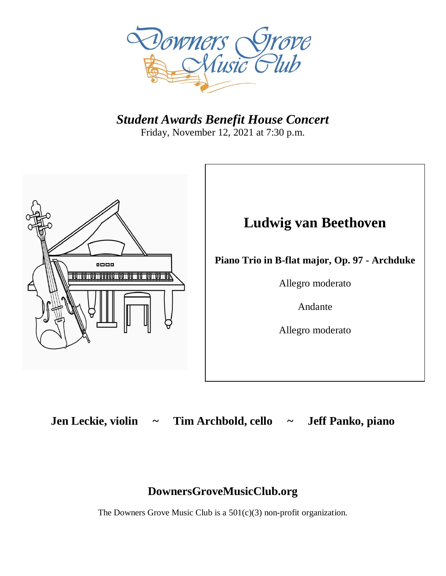

*Student Awards Benefit House Concert* Friday, November 12, 2021 at 7:30 p.m.



**Jen Leckie, violin ~ Tim Archbold, cello ~ Jeff Panko, piano**

## **DownersGroveMusicClub.org**

The Downers Grove Music Club is a  $501(c)(3)$  non-profit organization.